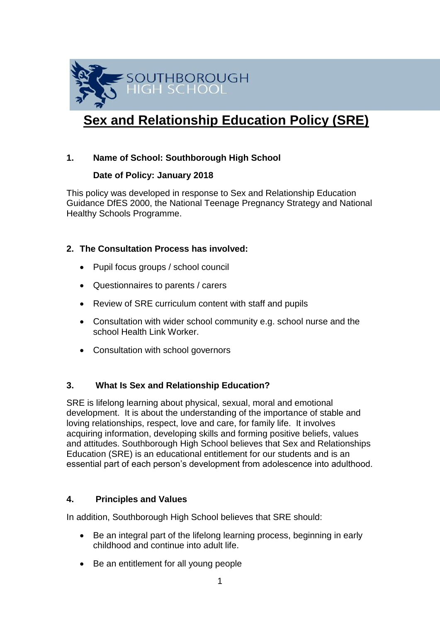

# **Sex and Relationship Education Policy (SRE)**

# **1. Name of School: Southborough High School**

## **Date of Policy: January 2018**

This policy was developed in response to Sex and Relationship Education Guidance DfES 2000, the National Teenage Pregnancy Strategy and National Healthy Schools Programme.

# **2. The Consultation Process has involved:**

- Pupil focus groups / school council
- Questionnaires to parents / carers
- Review of SRE curriculum content with staff and pupils
- Consultation with wider school community e.g. school nurse and the school Health Link Worker.
- Consultation with school governors

# **3. What Is Sex and Relationship Education?**

SRE is lifelong learning about physical, sexual, moral and emotional development. It is about the understanding of the importance of stable and loving relationships, respect, love and care, for family life. It involves acquiring information, developing skills and forming positive beliefs, values and attitudes. Southborough High School believes that Sex and Relationships Education (SRE) is an educational entitlement for our students and is an essential part of each person's development from adolescence into adulthood.

# **4. Principles and Values**

In addition, Southborough High School believes that SRE should:

- Be an integral part of the lifelong learning process, beginning in early childhood and continue into adult life.
- Be an entitlement for all young people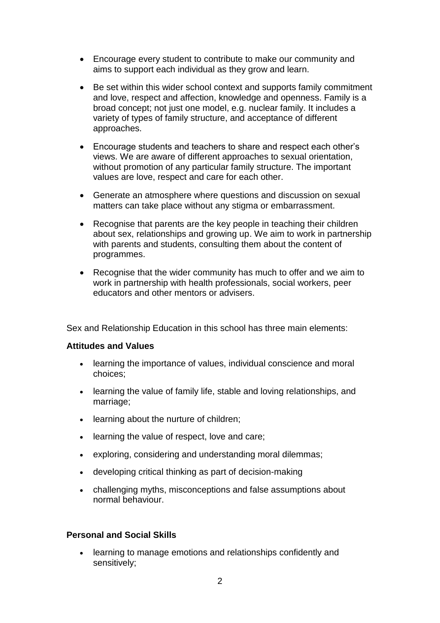- Encourage every student to contribute to make our community and aims to support each individual as they grow and learn.
- Be set within this wider school context and supports family commitment and love, respect and affection, knowledge and openness. Family is a broad concept; not just one model, e.g. nuclear family. It includes a variety of types of family structure, and acceptance of different approaches.
- Encourage students and teachers to share and respect each other's views. We are aware of different approaches to sexual orientation, without promotion of any particular family structure. The important values are love, respect and care for each other.
- Generate an atmosphere where questions and discussion on sexual matters can take place without any stigma or embarrassment.
- Recognise that parents are the key people in teaching their children about sex, relationships and growing up. We aim to work in partnership with parents and students, consulting them about the content of programmes.
- Recognise that the wider community has much to offer and we aim to work in partnership with health professionals, social workers, peer educators and other mentors or advisers.

Sex and Relationship Education in this school has three main elements:

## **Attitudes and Values**

- learning the importance of values, individual conscience and moral choices;
- learning the value of family life, stable and loving relationships, and marriage;
- learning about the nurture of children;
- learning the value of respect, love and care;
- exploring, considering and understanding moral dilemmas;
- developing critical thinking as part of decision-making
- challenging myths, misconceptions and false assumptions about normal behaviour.

# **Personal and Social Skills**

 learning to manage emotions and relationships confidently and sensitively;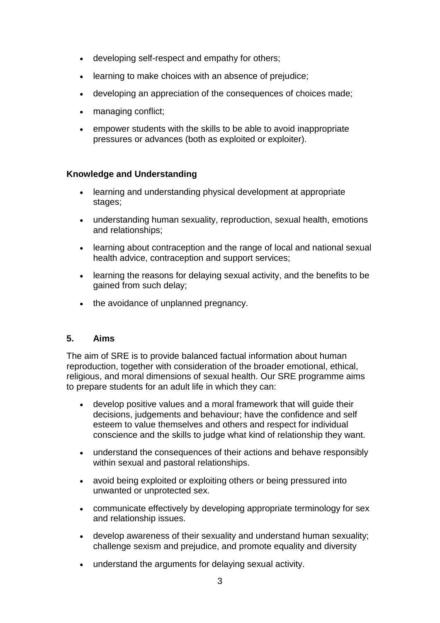- developing self-respect and empathy for others;
- learning to make choices with an absence of prejudice;
- developing an appreciation of the consequences of choices made;
- managing conflict;
- empower students with the skills to be able to avoid inappropriate pressures or advances (both as exploited or exploiter).

#### **Knowledge and Understanding**

- learning and understanding physical development at appropriate stages;
- understanding human sexuality, reproduction, sexual health, emotions and relationships;
- learning about contraception and the range of local and national sexual health advice, contraception and support services;
- learning the reasons for delaying sexual activity, and the benefits to be gained from such delay;
- the avoidance of unplanned pregnancy.

#### **5. Aims**

The aim of SRE is to provide balanced factual information about human reproduction, together with consideration of the broader emotional, ethical, religious, and moral dimensions of sexual health. Our SRE programme aims to prepare students for an adult life in which they can:

- develop positive values and a moral framework that will guide their decisions, judgements and behaviour; have the confidence and self esteem to value themselves and others and respect for individual conscience and the skills to judge what kind of relationship they want.
- understand the consequences of their actions and behave responsibly within sexual and pastoral relationships.
- avoid being exploited or exploiting others or being pressured into unwanted or unprotected sex.
- communicate effectively by developing appropriate terminology for sex and relationship issues.
- develop awareness of their sexuality and understand human sexuality; challenge sexism and prejudice, and promote equality and diversity
- understand the arguments for delaying sexual activity.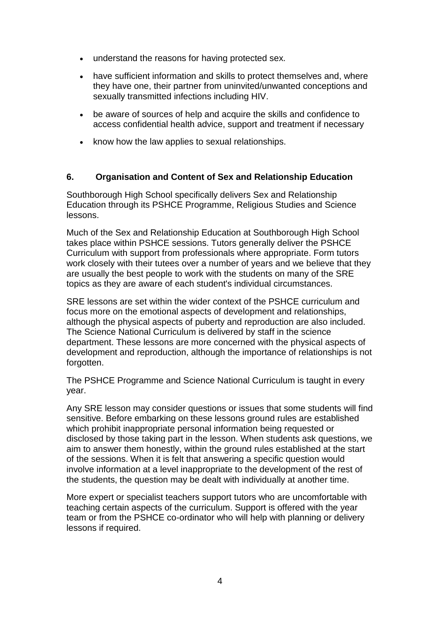- understand the reasons for having protected sex.
- have sufficient information and skills to protect themselves and, where they have one, their partner from uninvited/unwanted conceptions and sexually transmitted infections including HIV.
- be aware of sources of help and acquire the skills and confidence to access confidential health advice, support and treatment if necessary
- know how the law applies to sexual relationships.

## **6. Organisation and Content of Sex and Relationship Education**

Southborough High School specifically delivers Sex and Relationship Education through its PSHCE Programme, Religious Studies and Science lessons.

Much of the Sex and Relationship Education at Southborough High School takes place within PSHCE sessions. Tutors generally deliver the PSHCE Curriculum with support from professionals where appropriate. Form tutors work closely with their tutees over a number of years and we believe that they are usually the best people to work with the students on many of the SRE topics as they are aware of each student's individual circumstances.

SRE lessons are set within the wider context of the PSHCE curriculum and focus more on the emotional aspects of development and relationships, although the physical aspects of puberty and reproduction are also included. The Science National Curriculum is delivered by staff in the science department. These lessons are more concerned with the physical aspects of development and reproduction, although the importance of relationships is not forgotten.

The PSHCE Programme and Science National Curriculum is taught in every year.

Any SRE lesson may consider questions or issues that some students will find sensitive. Before embarking on these lessons ground rules are established which prohibit inappropriate personal information being requested or disclosed by those taking part in the lesson. When students ask questions, we aim to answer them honestly, within the ground rules established at the start of the sessions. When it is felt that answering a specific question would involve information at a level inappropriate to the development of the rest of the students, the question may be dealt with individually at another time.

More expert or specialist teachers support tutors who are uncomfortable with teaching certain aspects of the curriculum. Support is offered with the year team or from the PSHCE co-ordinator who will help with planning or delivery lessons if required.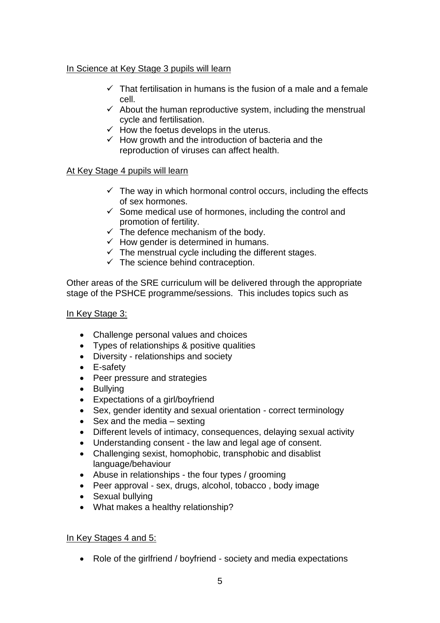# In Science at Key Stage 3 pupils will learn

- $\checkmark$  That fertilisation in humans is the fusion of a male and a female cell.
- $\checkmark$  About the human reproductive system, including the menstrual cycle and fertilisation.
- $\checkmark$  How the foetus develops in the uterus.
- $\checkmark$  How growth and the introduction of bacteria and the reproduction of viruses can affect health.

# At Key Stage 4 pupils will learn

- $\checkmark$  The way in which hormonal control occurs, including the effects of sex hormones.
- $\checkmark$  Some medical use of hormones, including the control and promotion of fertility.
- $\checkmark$  The defence mechanism of the body.
- $\checkmark$  How gender is determined in humans.
- $\checkmark$  The menstrual cycle including the different stages.
- $\checkmark$  The science behind contraception.

Other areas of the SRE curriculum will be delivered through the appropriate stage of the PSHCE programme/sessions. This includes topics such as

# In Key Stage 3:

- Challenge personal values and choices
- Types of relationships & positive qualities
- Diversity relationships and society
- E-safety
- Peer pressure and strategies
- Bullving
- Expectations of a girl/boyfriend
- Sex, gender identity and sexual orientation correct terminology
- $\bullet$  Sex and the media sexting
- Different levels of intimacy, consequences, delaying sexual activity
- Understanding consent the law and legal age of consent.
- Challenging sexist, homophobic, transphobic and disablist language/behaviour
- Abuse in relationships the four types / grooming
- Peer approval sex, drugs, alcohol, tobacco, body image
- Sexual bullying
- What makes a healthy relationship?

# In Key Stages 4 and 5:

• Role of the girlfriend / boyfriend - society and media expectations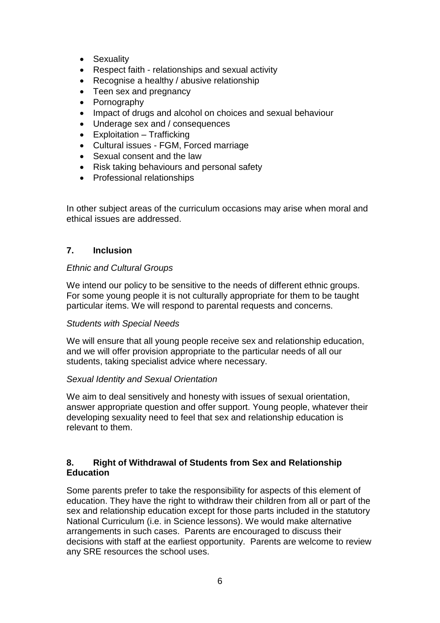- Sexuality
- Respect faith relationships and sexual activity
- Recognise a healthy / abusive relationship
- Teen sex and pregnancy
- Pornography
- Impact of drugs and alcohol on choices and sexual behaviour
- Underage sex and / consequences
- Exploitation Trafficking
- Cultural issues FGM, Forced marriage
- Sexual consent and the law
- Risk taking behaviours and personal safety
- Professional relationships

In other subject areas of the curriculum occasions may arise when moral and ethical issues are addressed.

## **7. Inclusion**

## *Ethnic and Cultural Groups*

We intend our policy to be sensitive to the needs of different ethnic groups. For some young people it is not culturally appropriate for them to be taught particular items. We will respond to parental requests and concerns.

## *Students with Special Needs*

We will ensure that all young people receive sex and relationship education, and we will offer provision appropriate to the particular needs of all our students, taking specialist advice where necessary.

## *Sexual Identity and Sexual Orientation*

We aim to deal sensitively and honesty with issues of sexual orientation, answer appropriate question and offer support. Young people, whatever their developing sexuality need to feel that sex and relationship education is relevant to them.

## **8. Right of Withdrawal of Students from Sex and Relationship Education**

Some parents prefer to take the responsibility for aspects of this element of education. They have the right to withdraw their children from all or part of the sex and relationship education except for those parts included in the statutory National Curriculum (i.e. in Science lessons). We would make alternative arrangements in such cases. Parents are encouraged to discuss their decisions with staff at the earliest opportunity. Parents are welcome to review any SRE resources the school uses.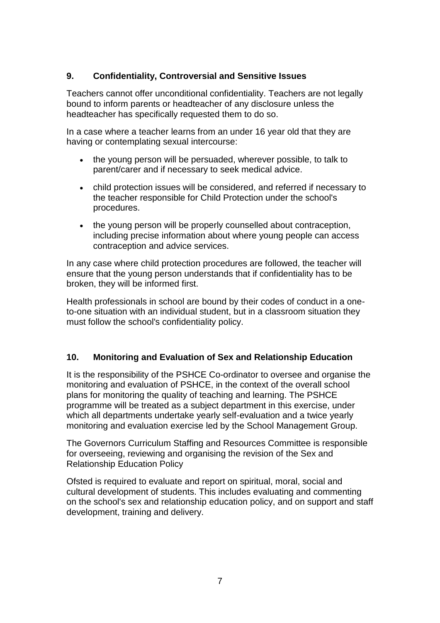# **9. Confidentiality, Controversial and Sensitive Issues**

Teachers cannot offer unconditional confidentiality. Teachers are not legally bound to inform parents or headteacher of any disclosure unless the headteacher has specifically requested them to do so.

In a case where a teacher learns from an under 16 year old that they are having or contemplating sexual intercourse:

- the young person will be persuaded, wherever possible, to talk to parent/carer and if necessary to seek medical advice.
- child protection issues will be considered, and referred if necessary to the teacher responsible for Child Protection under the school's procedures.
- the young person will be properly counselled about contraception, including precise information about where young people can access contraception and advice services.

In any case where child protection procedures are followed, the teacher will ensure that the young person understands that if confidentiality has to be broken, they will be informed first.

Health professionals in school are bound by their codes of conduct in a oneto-one situation with an individual student, but in a classroom situation they must follow the school's confidentiality policy.

# **10. Monitoring and Evaluation of Sex and Relationship Education**

It is the responsibility of the PSHCE Co-ordinator to oversee and organise the monitoring and evaluation of PSHCE, in the context of the overall school plans for monitoring the quality of teaching and learning. The PSHCE programme will be treated as a subject department in this exercise, under which all departments undertake yearly self-evaluation and a twice yearly monitoring and evaluation exercise led by the School Management Group.

The Governors Curriculum Staffing and Resources Committee is responsible for overseeing, reviewing and organising the revision of the Sex and Relationship Education Policy

Ofsted is required to evaluate and report on spiritual, moral, social and cultural development of students. This includes evaluating and commenting on the school's sex and relationship education policy, and on support and staff development, training and delivery.